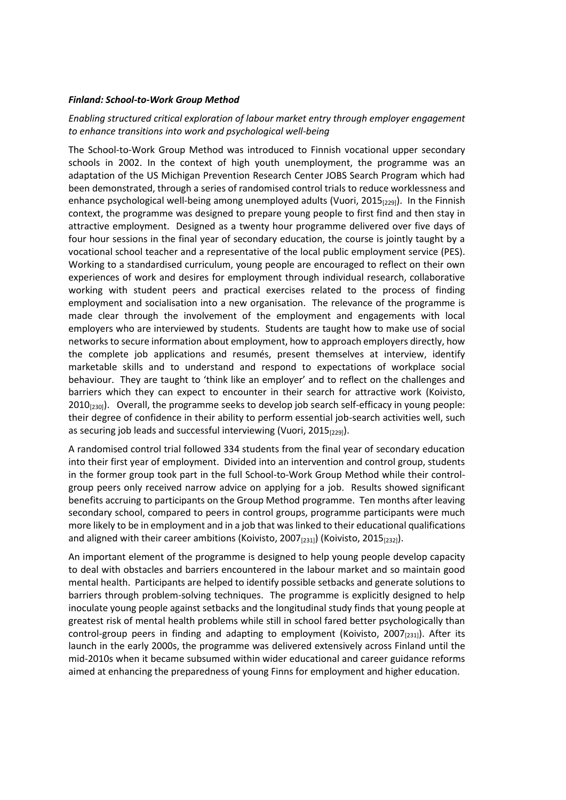## *Finland: School-to-Work Group Method*

## *Enabling structured critical exploration of labour market entry through employer engagement to enhance transitions into work and psychological well-being*

The School-to-Work Group Method was introduced to Finnish vocational upper secondary schools in 2002. In the context of high youth unemployment, the programme was an adaptation of the US Michigan Prevention Research Center JOBS Search Program which had been demonstrated, through a series of randomised control trials to reduce worklessness and enhance psychological well-being among unemployed adults (Vuori, 2015<sub>[229]</sub>). In the Finnish context, the programme was designed to prepare young people to first find and then stay in attractive employment. Designed as a twenty hour programme delivered over five days of four hour sessions in the final year of secondary education, the course is jointly taught by a vocational school teacher and a representative of the local public employment service (PES). Working to a standardised curriculum, young people are encouraged to reflect on their own experiences of work and desires for employment through individual research, collaborative working with student peers and practical exercises related to the process of finding employment and socialisation into a new organisation. The relevance of the programme is made clear through the involvement of the employment and engagements with local employers who are interviewed by students. Students are taught how to make use of social networks to secure information about employment, how to approach employers directly, how the complete job applications and resumés, present themselves at interview, identify marketable skills and to understand and respond to expectations of workplace social behaviour. They are taught to 'think like an employer' and to reflect on the challenges and barriers which they can expect to encounter in their search for attractive work (Koivisto, 2010 $_{[230]}$ ). Overall, the programme seeks to develop job search self-efficacy in young people: their degree of confidence in their ability to perform essential job-search activities well, such as securing job leads and successful interviewing (Vuori, 2015<sub>[229]</sub>).

A randomised control trial followed 334 students from the final year of secondary education into their first year of employment. Divided into an intervention and control group, students in the former group took part in the full School-to-Work Group Method while their controlgroup peers only received narrow advice on applying for a job. Results showed significant benefits accruing to participants on the Group Method programme. Ten months after leaving secondary school, compared to peers in control groups, programme participants were much more likely to be in employment and in a job that was linked to their educational qualifications and aligned with their career ambitions (Koivisto, 2007 $_{[231]}$ ) (Koivisto, 2015 $_{[232]}$ ).

An important element of the programme is designed to help young people develop capacity to deal with obstacles and barriers encountered in the labour market and so maintain good mental health. Participants are helped to identify possible setbacks and generate solutions to barriers through problem-solving techniques. The programme is explicitly designed to help inoculate young people against setbacks and the longitudinal study finds that young people at greatest risk of mental health problems while still in school fared better psychologically than control-group peers in finding and adapting to employment (Koivisto, 2007 $_{[231]}$ ). After its launch in the early 2000s, the programme was delivered extensively across Finland until the mid-2010s when it became subsumed within wider educational and career guidance reforms aimed at enhancing the preparedness of young Finns for employment and higher education.